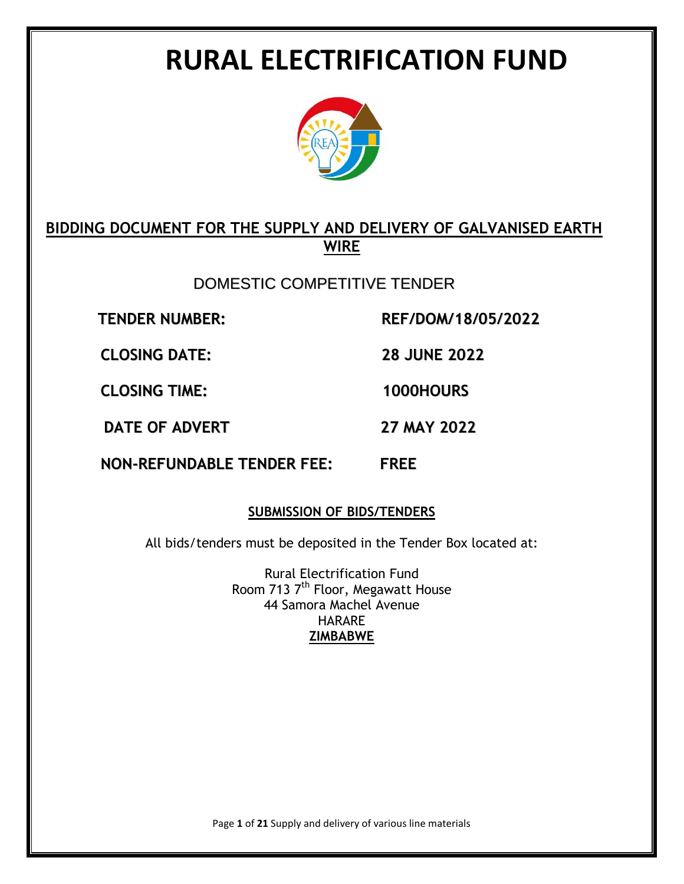# **RURAL ELECTRIFICATION FUND**



# **BIDDING DOCUMENT FOR THE SUPPLY AND DELIVERY OF GALVANISED EARTH WIRE**

DOMESTIC COMPETITIVE TENDER

**TENDER NUMBER: REF/DOM/18/05/2022**

**CLOSING DATE: 28 JUNE 2022**

**CLOSING TIME: 1000HOURS**

**DATE OF ADVERT 27 MAY 2022**

**NON-REFUNDABLE TENDER FEE: FREE**

# **SUBMISSION OF BIDS/TENDERS**

All bids/tenders must be deposited in the Tender Box located at:

Rural Electrification Fund Room 713 7<sup>th</sup> Floor, Megawatt House 44 Samora Machel Avenue HARARE **ZIMBABWE**

Page **1** of **21** Supply and delivery of various line materials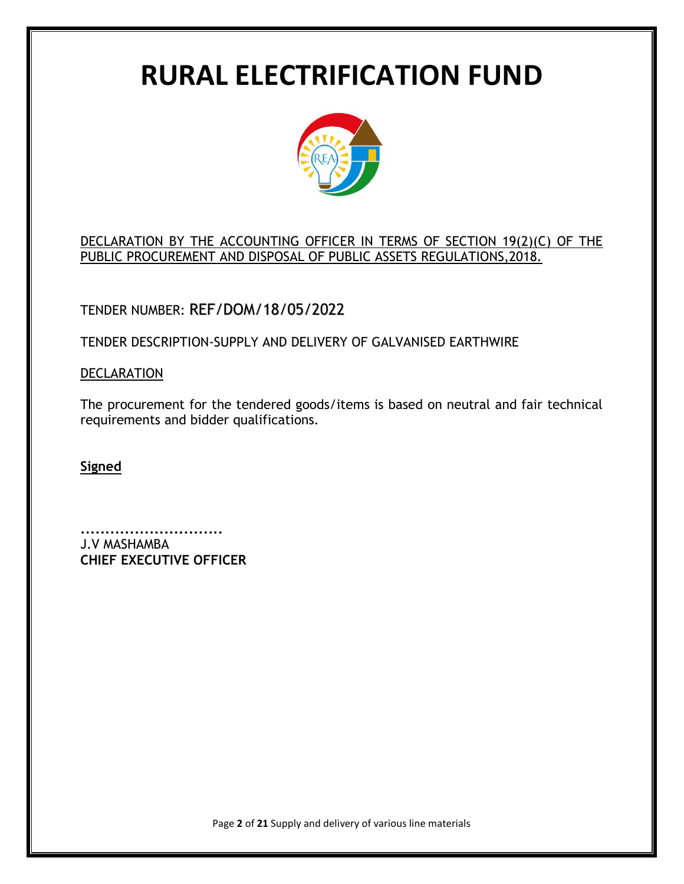# **RURAL ELECTRIFICATION FUND**



# DECLARATION BY THE ACCOUNTING OFFICER IN TERMS OF SECTION 19(2)(C) OF THE PUBLIC PROCUREMENT AND DISPOSAL OF PUBLIC ASSETS REGULATIONS,2018.

# TENDER NUMBER: REF/DOM/18/05/2022

TENDER DESCRIPTION-SUPPLY AND DELIVERY OF GALVANISED EARTHWIRE

# **DECLARATION**

The procurement for the tendered goods/items is based on neutral and fair technical requirements and bidder qualifications.

**Signed**

**.............................** J.V MASHAMBA **CHIEF EXECUTIVE OFFICER**

Page **2** of **21** Supply and delivery of various line materials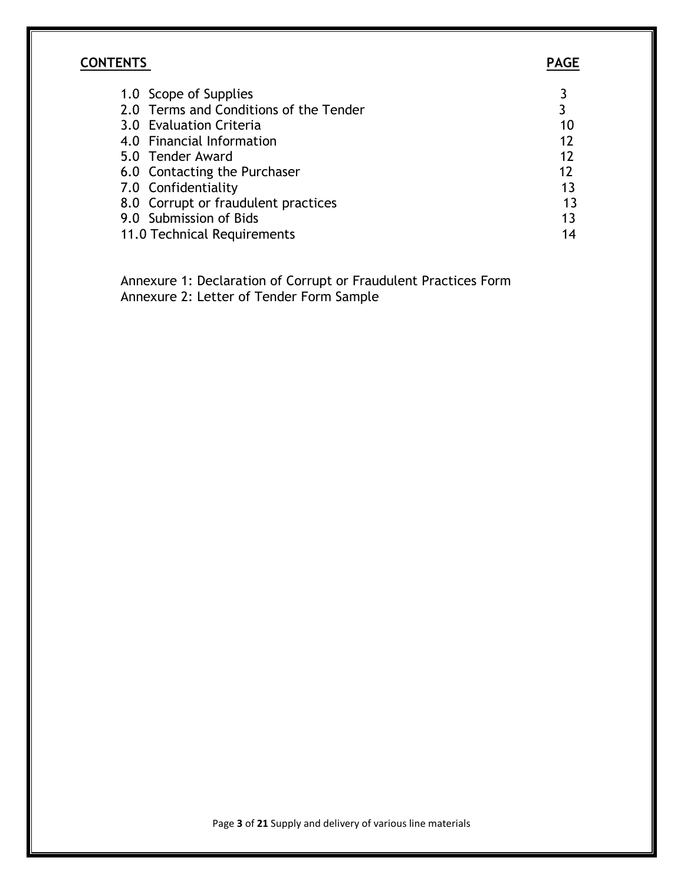# **CONTENTS PAGE**

| 1.0 Scope of Supplies                  |    |
|----------------------------------------|----|
| 2.0 Terms and Conditions of the Tender | 3  |
| 3.0 Evaluation Criteria                | 10 |
| 4.0 Financial Information              | 12 |
| 5.0 Tender Award                       | 12 |
| 6.0 Contacting the Purchaser           | 12 |
| 7.0 Confidentiality                    | 13 |
| 8.0 Corrupt or fraudulent practices    | 13 |
| 9.0 Submission of Bids                 | 13 |
| 11.0 Technical Requirements            | 14 |

 Annexure 1: Declaration of Corrupt or Fraudulent Practices Form Annexure 2: Letter of Tender Form Sample

Page **3** of **21** Supply and delivery of various line materials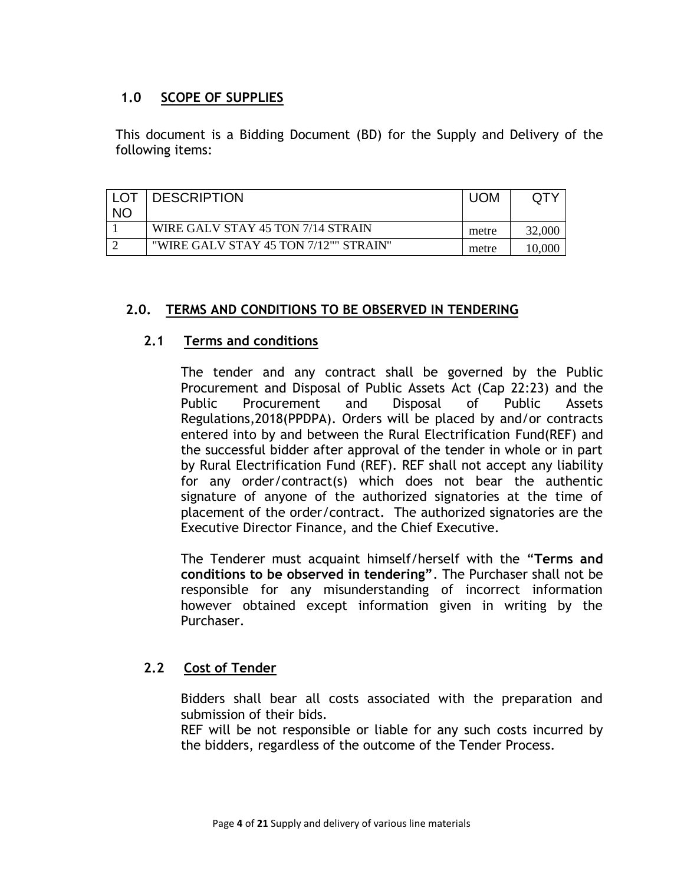# **1.0 SCOPE OF SUPPLIES**

This document is a Bidding Document (BD) for the Supply and Delivery of the following items:

| I LOT<br><b>NC</b> | <b>DESCRIPTION</b>                    | <b>UOM</b> |  |
|--------------------|---------------------------------------|------------|--|
|                    | WIRE GALV STAY 45 TON 7/14 STRAIN     | metre      |  |
|                    | "WIRE GALV STAY 45 TON 7/12"" STRAIN" | metre      |  |

#### **2.0. TERMS AND CONDITIONS TO BE OBSERVED IN TENDERING**

#### **2.1 Terms and conditions**

The tender and any contract shall be governed by the Public Procurement and Disposal of Public Assets Act (Cap 22:23) and the Public Procurement and Disposal of Public Assets Regulations,2018(PPDPA). Orders will be placed by and/or contracts entered into by and between the Rural Electrification Fund(REF) and the successful bidder after approval of the tender in whole or in part by Rural Electrification Fund (REF). REF shall not accept any liability for any order/contract(s) which does not bear the authentic signature of anyone of the authorized signatories at the time of placement of the order/contract. The authorized signatories are the Executive Director Finance, and the Chief Executive.

The Tenderer must acquaint himself/herself with the "**Terms and conditions to be observed in tendering"**. The Purchaser shall not be responsible for any misunderstanding of incorrect information however obtained except information given in writing by the Purchaser.

# **2.2 Cost of Tender**

Bidders shall bear all costs associated with the preparation and submission of their bids.

REF will be not responsible or liable for any such costs incurred by the bidders, regardless of the outcome of the Tender Process.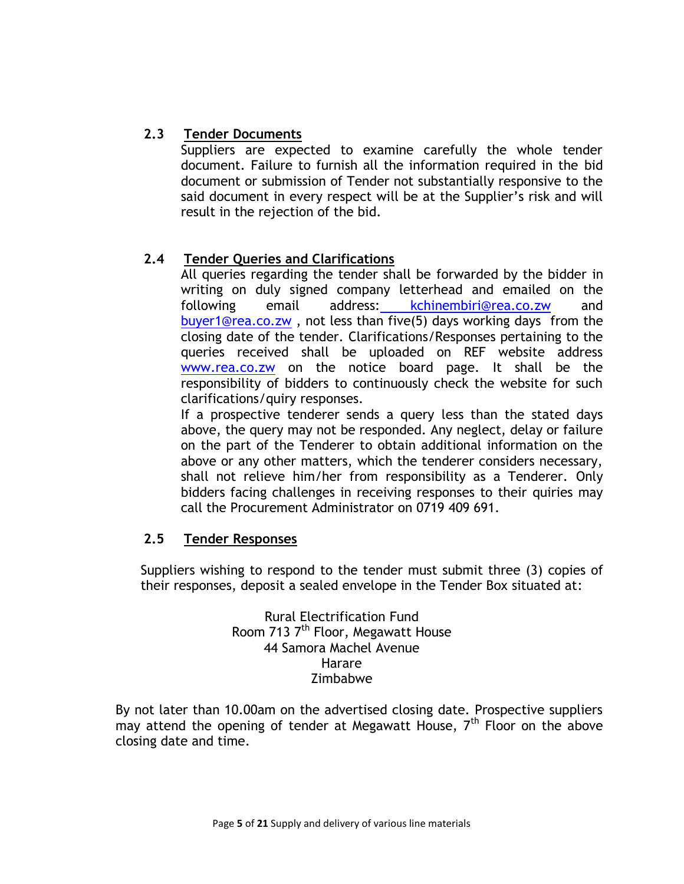# **2.3 Tender Documents**

Suppliers are expected to examine carefully the whole tender document. Failure to furnish all the information required in the bid document or submission of Tender not substantially responsive to the said document in every respect will be at the Supplier's risk and will result in the rejection of the bid.

# **2.4 Tender Queries and Clarifications**

All queries regarding the tender shall be forwarded by the bidder in writing on duly signed company letterhead and emailed on the following email address: [kchinembiri@rea.co.zw](mailto:%20kchinembiri@rea.co.zw) and [buyer1@rea.co.zw](mailto:buyer1@rea.co.zw) , not less than five(5) days working days from the closing date of the tender. Clarifications/Responses pertaining to the queries received shall be uploaded on REF website address [www.rea.co.zw](http://www.rea.co.zw/) on the notice board page. It shall be the responsibility of bidders to continuously check the website for such clarifications/quiry responses.

If a prospective tenderer sends a query less than the stated days above, the query may not be responded. Any neglect, delay or failure on the part of the Tenderer to obtain additional information on the above or any other matters, which the tenderer considers necessary, shall not relieve him/her from responsibility as a Tenderer. Only bidders facing challenges in receiving responses to their quiries may call the Procurement Administrator on 0719 409 691.

# **2.5 Tender Responses**

Suppliers wishing to respond to the tender must submit three (3) copies of their responses, deposit a sealed envelope in the Tender Box situated at:

> Rural Electrification Fund Room 713 7<sup>th</sup> Floor, Megawatt House 44 Samora Machel Avenue Harare Zimbabwe

By not later than 10.00am on the advertised closing date. Prospective suppliers may attend the opening of tender at Megawatt House,  $7<sup>th</sup>$  Floor on the above closing date and time.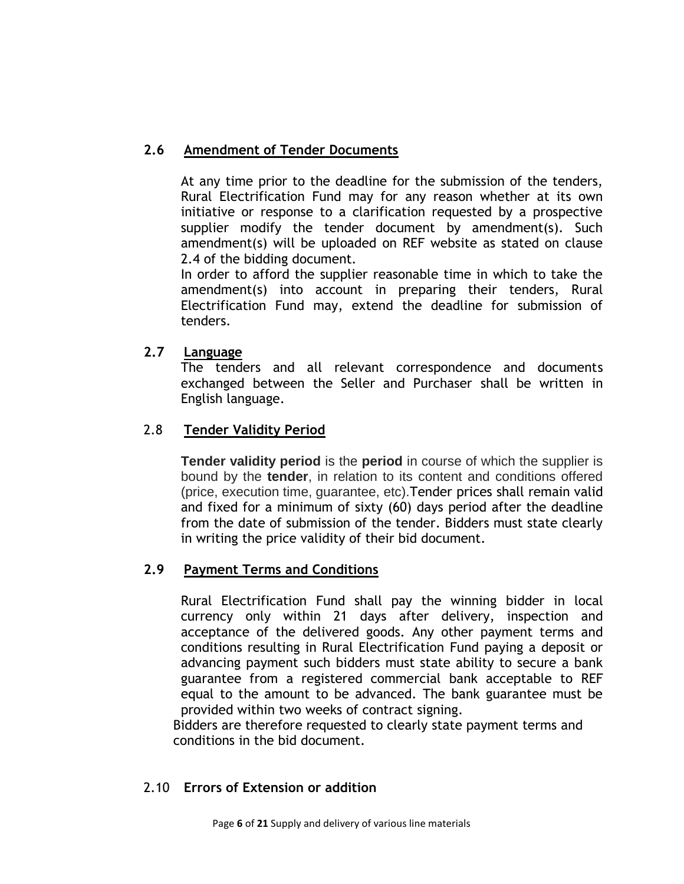# **2.6 Amendment of Tender Documents**

At any time prior to the deadline for the submission of the tenders, Rural Electrification Fund may for any reason whether at its own initiative or response to a clarification requested by a prospective supplier modify the tender document by amendment(s). Such amendment(s) will be uploaded on REF website as stated on clause 2.4 of the bidding document.

In order to afford the supplier reasonable time in which to take the amendment(s) into account in preparing their tenders, Rural Electrification Fund may, extend the deadline for submission of tenders.

# **2.7 Language**

The tenders and all relevant correspondence and documents exchanged between the Seller and Purchaser shall be written in English language.

# 2.8 **Tender Validity Period**

**Tender validity period** is the **period** in course of which the supplier is bound by the **tender**, in relation to its content and conditions offered (price, execution time, guarantee, etc).Tender prices shall remain valid and fixed for a minimum of sixty (60) days period after the deadline from the date of submission of the tender. Bidders must state clearly in writing the price validity of their bid document.

# **2.9 Payment Terms and Conditions**

Rural Electrification Fund shall pay the winning bidder in local currency only within 21 days after delivery, inspection and acceptance of the delivered goods. Any other payment terms and conditions resulting in Rural Electrification Fund paying a deposit or advancing payment such bidders must state ability to secure a bank guarantee from a registered commercial bank acceptable to REF equal to the amount to be advanced. The bank guarantee must be provided within two weeks of contract signing.

 Bidders are therefore requested to clearly state payment terms and conditions in the bid document.

#### 2.10 **Errors of Extension or addition**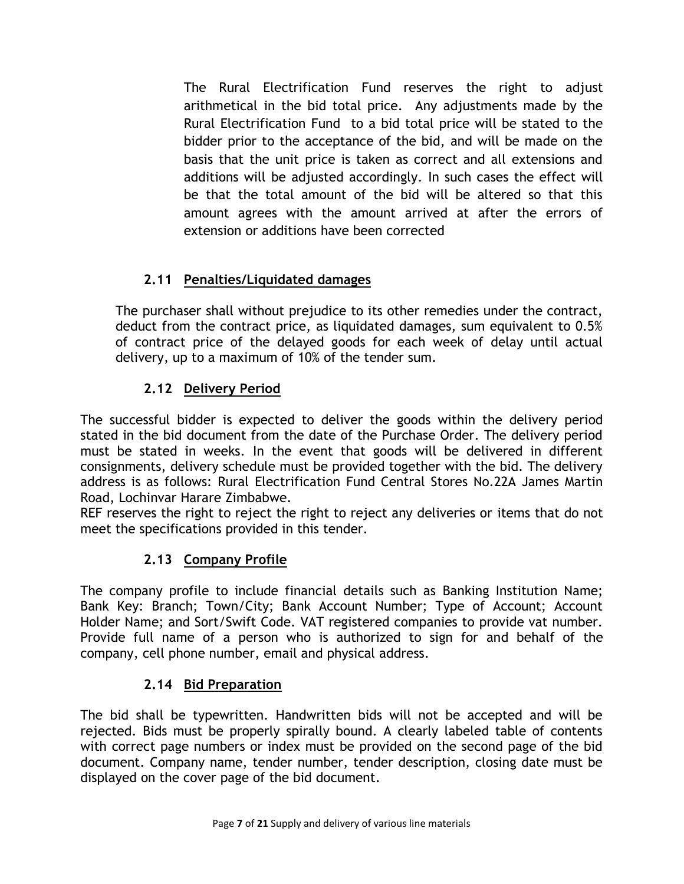The Rural Electrification Fund reserves the right to adjust arithmetical in the bid total price. Any adjustments made by the Rural Electrification Fund to a bid total price will be stated to the bidder prior to the acceptance of the bid, and will be made on the basis that the unit price is taken as correct and all extensions and additions will be adjusted accordingly. In such cases the effect will be that the total amount of the bid will be altered so that this amount agrees with the amount arrived at after the errors of extension or additions have been corrected

# **2.11 Penalties/Liquidated damages**

The purchaser shall without prejudice to its other remedies under the contract, deduct from the contract price, as liquidated damages, sum equivalent to 0.5% of contract price of the delayed goods for each week of delay until actual delivery, up to a maximum of 10% of the tender sum.

# **2.12 Delivery Period**

The successful bidder is expected to deliver the goods within the delivery period stated in the bid document from the date of the Purchase Order. The delivery period must be stated in weeks. In the event that goods will be delivered in different consignments, delivery schedule must be provided together with the bid. The delivery address is as follows: Rural Electrification Fund Central Stores No.22A James Martin Road, Lochinvar Harare Zimbabwe.

REF reserves the right to reject the right to reject any deliveries or items that do not meet the specifications provided in this tender.

# **2.13 Company Profile**

The company profile to include financial details such as Banking Institution Name; Bank Key: Branch; Town/City; Bank Account Number; Type of Account; Account Holder Name; and Sort/Swift Code. VAT registered companies to provide vat number. Provide full name of a person who is authorized to sign for and behalf of the company, cell phone number, email and physical address.

# **2.14 Bid Preparation**

The bid shall be typewritten. Handwritten bids will not be accepted and will be rejected. Bids must be properly spirally bound. A clearly labeled table of contents with correct page numbers or index must be provided on the second page of the bid document. Company name, tender number, tender description, closing date must be displayed on the cover page of the bid document.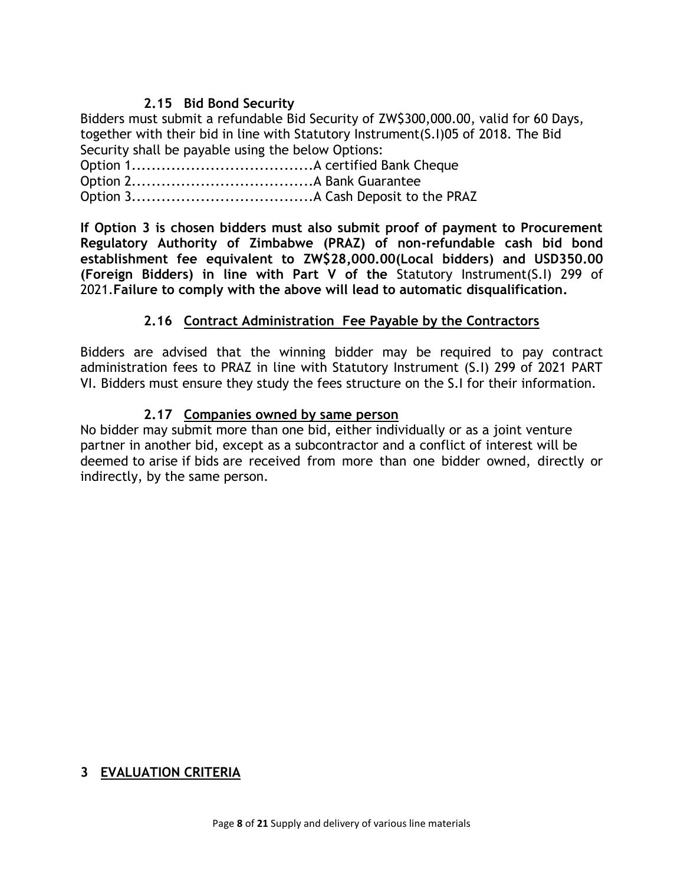#### **2.15 Bid Bond Security**

Bidders must submit a refundable Bid Security of ZW\$300,000.00, valid for 60 Days, together with their bid in line with Statutory Instrument(S.I)05 of 2018. The Bid Security shall be payable using the below Options:

Option 1.....................................A certified Bank Cheque Option 2.....................................A Bank Guarantee

Option 3.....................................A Cash Deposit to the PRAZ

**If Option 3 is chosen bidders must also submit proof of payment to Procurement Regulatory Authority of Zimbabwe (PRAZ) of non-refundable cash bid bond establishment fee equivalent to ZW\$28,000.00(Local bidders) and USD350.00 (Foreign Bidders) in line with Part V of the** Statutory Instrument(S.I) 299 of 2021.**Failure to comply with the above will lead to automatic disqualification.**

#### **2.16 Contract Administration Fee Payable by the Contractors**

Bidders are advised that the winning bidder may be required to pay contract administration fees to PRAZ in line with Statutory Instrument (S.I) 299 of 2021 PART VI. Bidders must ensure they study the fees structure on the S.I for their information.

#### **2.17 Companies owned by same person**

No bidder may submit more than one bid, either individually or as a joint venture partner in another bid, except as a subcontractor and a conflict of interest will be deemed to arise if bids are received from more than one bidder owned, directly or indirectly, by the same person.

# **3 EVALUATION CRITERIA**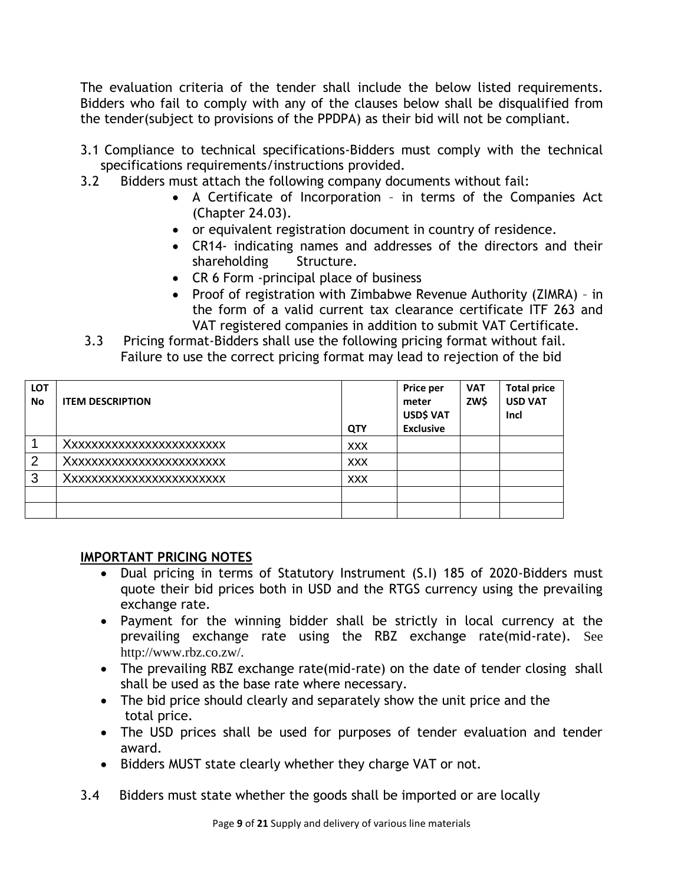The evaluation criteria of the tender shall include the below listed requirements. Bidders who fail to comply with any of the clauses below shall be disqualified from the tender(subject to provisions of the PPDPA) as their bid will not be compliant.

- 3.1 Compliance to technical specifications-Bidders must comply with the technical specifications requirements/instructions provided.
- 3.2 Bidders must attach the following company documents without fail:
	- A Certificate of Incorporation in terms of the Companies Act (Chapter 24.03).
	- or equivalent registration document in country of residence.
	- CR14- indicating names and addresses of the directors and their shareholding Structure.
	- CR 6 Form -principal place of business
	- Proof of registration with Zimbabwe Revenue Authority (ZIMRA) in the form of a valid current tax clearance certificate ITF 263 and VAT registered companies in addition to submit VAT Certificate.
- 3.3 Pricing format-Bidders shall use the following pricing format without fail. Failure to use the correct pricing format may lead to rejection of the bid

| <b>LOT</b><br><b>No</b> | <b>ITEM DESCRIPTION</b> | <b>QTY</b> | Price per<br>meter<br>USD\$ VAT<br><b>Exclusive</b> | <b>VAT</b><br>ZW\$ | <b>Total price</b><br><b>USD VAT</b><br>Incl |
|-------------------------|-------------------------|------------|-----------------------------------------------------|--------------------|----------------------------------------------|
|                         | Xxxxxxxxxxxxxxxxxxxxxx  | <b>XXX</b> |                                                     |                    |                                              |
| 2                       | Xxxxxxxxxxxxxxxxxxxxxx  | <b>XXX</b> |                                                     |                    |                                              |
| 3                       | Xxxxxxxxxxxxxxxxxxxxx   | <b>XXX</b> |                                                     |                    |                                              |
|                         |                         |            |                                                     |                    |                                              |
|                         |                         |            |                                                     |                    |                                              |

# **IMPORTANT PRICING NOTES**

- Dual pricing in terms of Statutory Instrument (S.I) 185 of 2020-Bidders must quote their bid prices both in USD and the RTGS currency using the prevailing exchange rate.
- Payment for the winning bidder shall be strictly in local currency at the prevailing exchange rate using the RBZ exchange rate(mid-rate). See http://www.rbz.co.zw/.
- The prevailing RBZ exchange rate(mid-rate) on the date of tender closing shall shall be used as the base rate where necessary.
- The bid price should clearly and separately show the unit price and the total price.
- The USD prices shall be used for purposes of tender evaluation and tender award.
- Bidders MUST state clearly whether they charge VAT or not.
- 3.4 Bidders must state whether the goods shall be imported or are locally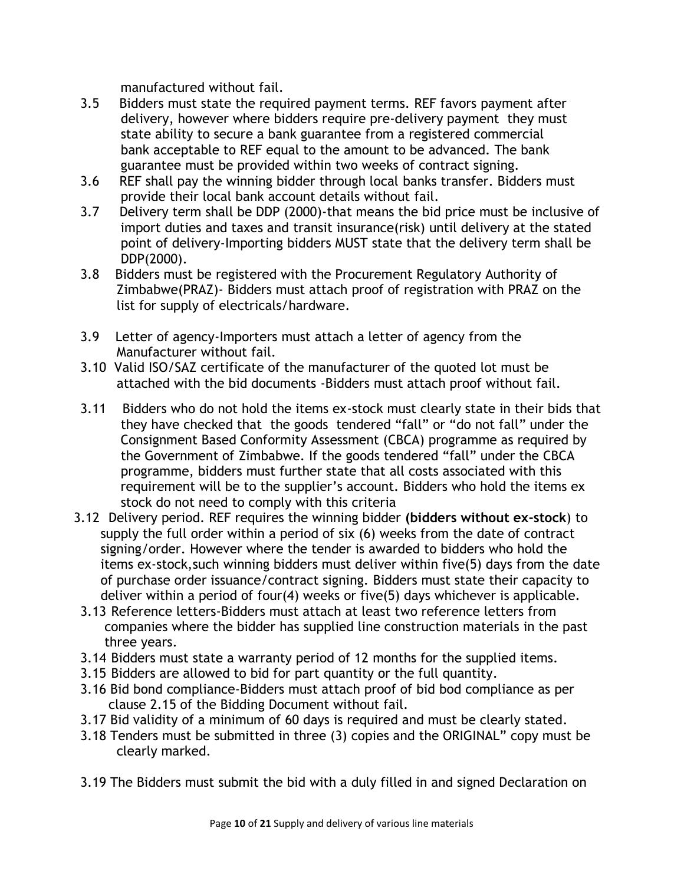manufactured without fail.

- 3.5 Bidders must state the required payment terms. REF favors payment after delivery, however where bidders require pre-delivery payment they must state ability to secure a bank guarantee from a registered commercial bank acceptable to REF equal to the amount to be advanced. The bank guarantee must be provided within two weeks of contract signing.
- 3.6 REF shall pay the winning bidder through local banks transfer. Bidders must provide their local bank account details without fail.
- 3.7 Delivery term shall be DDP (2000)-that means the bid price must be inclusive of import duties and taxes and transit insurance(risk) until delivery at the stated point of delivery-Importing bidders MUST state that the delivery term shall be DDP(2000).
- 3.8 Bidders must be registered with the Procurement Regulatory Authority of Zimbabwe(PRAZ)- Bidders must attach proof of registration with PRAZ on the list for supply of electricals/hardware.
- 3.9 Letter of agency-Importers must attach a letter of agency from the Manufacturer without fail.
- 3.10 Valid ISO/SAZ certificate of the manufacturer of the quoted lot must be attached with the bid documents -Bidders must attach proof without fail.
- 3.11 Bidders who do not hold the items ex-stock must clearly state in their bids that they have checked that the goods tendered "fall" or "do not fall" under the Consignment Based Conformity Assessment (CBCA) programme as required by the Government of Zimbabwe. If the goods tendered "fall" under the CBCA programme, bidders must further state that all costs associated with this requirement will be to the supplier's account. Bidders who hold the items ex stock do not need to comply with this criteria
- 3.12 Delivery period. REF requires the winning bidder **(bidders without ex-stock**) to supply the full order within a period of six (6) weeks from the date of contract signing/order. However where the tender is awarded to bidders who hold the items ex-stock,such winning bidders must deliver within five(5) days from the date of purchase order issuance/contract signing. Bidders must state their capacity to deliver within a period of four(4) weeks or five(5) days whichever is applicable.
- 3.13 Reference letters-Bidders must attach at least two reference letters from companies where the bidder has supplied line construction materials in the past three years.
- 3.14 Bidders must state a warranty period of 12 months for the supplied items.
- 3.15 Bidders are allowed to bid for part quantity or the full quantity.
- 3.16 Bid bond compliance-Bidders must attach proof of bid bod compliance as per clause 2.15 of the Bidding Document without fail.
- 3.17 Bid validity of a minimum of 60 days is required and must be clearly stated.
- 3.18 Tenders must be submitted in three (3) copies and the ORIGINAL" copy must be clearly marked.
- 3.19 The Bidders must submit the bid with a duly filled in and signed Declaration on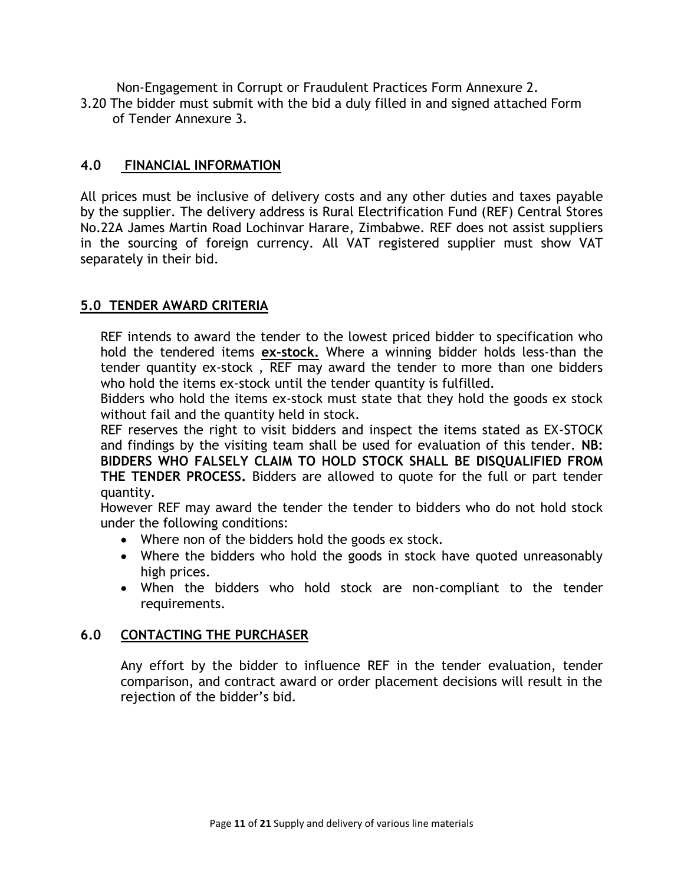Non-Engagement in Corrupt or Fraudulent Practices Form Annexure 2.

3.20 The bidder must submit with the bid a duly filled in and signed attached Form of Tender Annexure 3.

# **4.0 FINANCIAL INFORMATION**

All prices must be inclusive of delivery costs and any other duties and taxes payable by the supplier. The delivery address is Rural Electrification Fund (REF) Central Stores No.22A James Martin Road Lochinvar Harare, Zimbabwe. REF does not assist suppliers in the sourcing of foreign currency. All VAT registered supplier must show VAT separately in their bid.

# **5.0 TENDER AWARD CRITERIA**

REF intends to award the tender to the lowest priced bidder to specification who hold the tendered items **ex-stock.** Where a winning bidder holds less-than the tender quantity ex-stock , REF may award the tender to more than one bidders who hold the items ex-stock until the tender quantity is fulfilled.

Bidders who hold the items ex-stock must state that they hold the goods ex stock without fail and the quantity held in stock.

REF reserves the right to visit bidders and inspect the items stated as EX-STOCK and findings by the visiting team shall be used for evaluation of this tender. **NB: BIDDERS WHO FALSELY CLAIM TO HOLD STOCK SHALL BE DISQUALIFIED FROM THE TENDER PROCESS.** Bidders are allowed to quote for the full or part tender quantity.

However REF may award the tender the tender to bidders who do not hold stock under the following conditions:

- Where non of the bidders hold the goods ex stock.
- Where the bidders who hold the goods in stock have quoted unreasonably high prices.
- When the bidders who hold stock are non-compliant to the tender requirements.

# **6.0 CONTACTING THE PURCHASER**

Any effort by the bidder to influence REF in the tender evaluation, tender comparison, and contract award or order placement decisions will result in the rejection of the bidder's bid.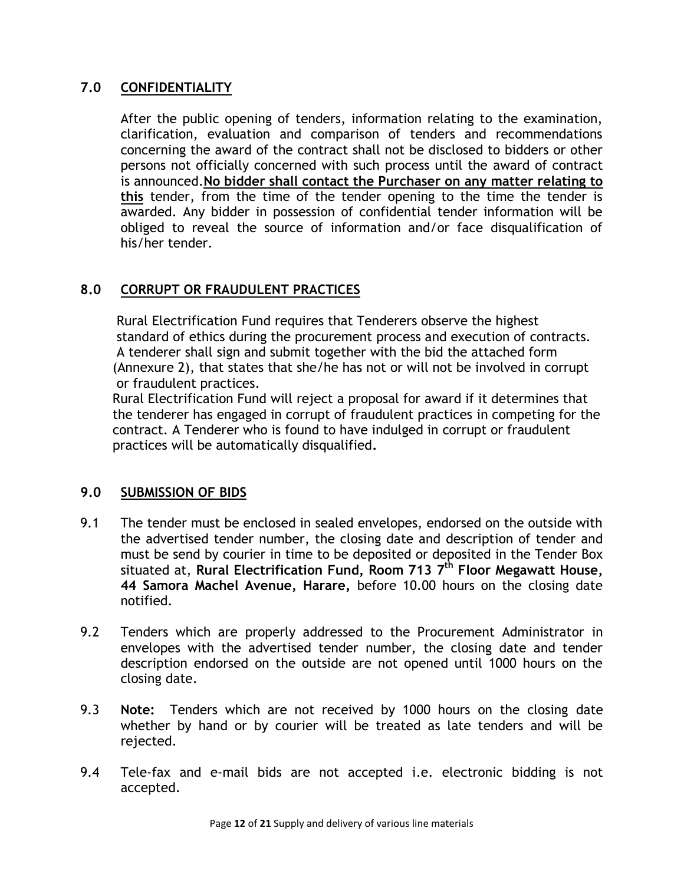# **7.0 CONFIDENTIALITY**

After the public opening of tenders, information relating to the examination, clarification, evaluation and comparison of tenders and recommendations concerning the award of the contract shall not be disclosed to bidders or other persons not officially concerned with such process until the award of contract is announced.**No bidder shall contact the Purchaser on any matter relating to this** tender, from the time of the tender opening to the time the tender is awarded. Any bidder in possession of confidential tender information will be obliged to reveal the source of information and/or face disqualification of his/her tender.

# **8.0 CORRUPT OR FRAUDULENT PRACTICES**

 Rural Electrification Fund requires that Tenderers observe the highest standard of ethics during the procurement process and execution of contracts. A tenderer shall sign and submit together with the bid the attached form (Annexure 2), that states that she/he has not or will not be involved in corrupt or fraudulent practices.

 Rural Electrification Fund will reject a proposal for award if it determines that the tenderer has engaged in corrupt of fraudulent practices in competing for the contract. A Tenderer who is found to have indulged in corrupt or fraudulent practices will be automatically disqualified**.**

# **9.0 SUBMISSION OF BIDS**

- 9.1 The tender must be enclosed in sealed envelopes, endorsed on the outside with the advertised tender number, the closing date and description of tender and must be send by courier in time to be deposited or deposited in the Tender Box situated at, **Rural Electrification Fund, Room 713 7 th Floor Megawatt House, 44 Samora Machel Avenue, Harare,** before 10.00 hours on the closing date notified.
- 9.2 Tenders which are properly addressed to the Procurement Administrator in envelopes with the advertised tender number, the closing date and tender description endorsed on the outside are not opened until 1000 hours on the closing date.
- 9.3 **Note:** Tenders which are not received by 1000 hours on the closing date whether by hand or by courier will be treated as late tenders and will be rejected.
- 9.4 Tele-fax and e-mail bids are not accepted i.e. electronic bidding is not accepted.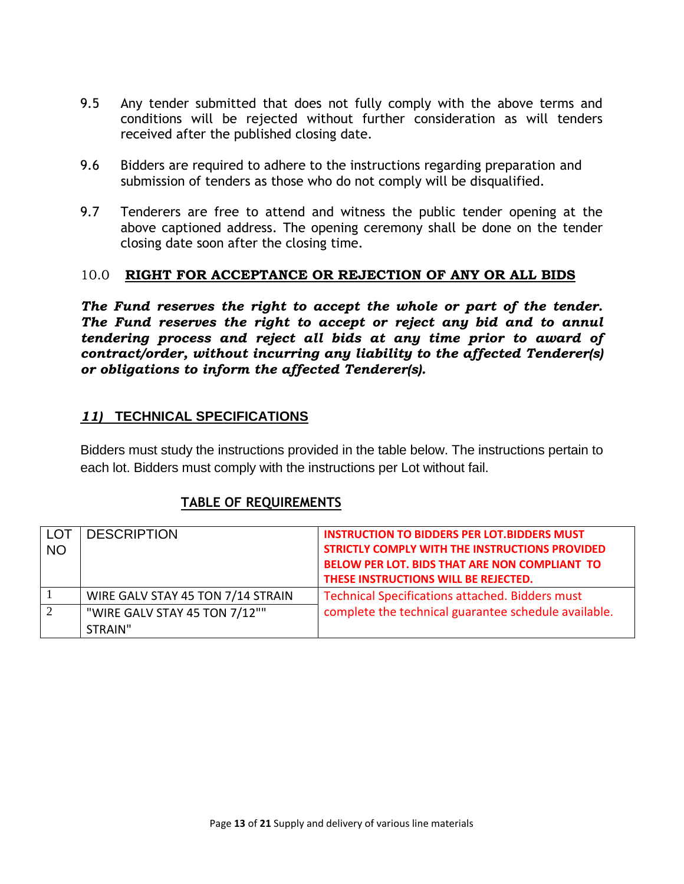- 9.5 Any tender submitted that does not fully comply with the above terms and conditions will be rejected without further consideration as will tenders received after the published closing date.
- 9.6 Bidders are required to adhere to the instructions regarding preparation and submission of tenders as those who do not comply will be disqualified.
- 9.7 Tenderers are free to attend and witness the public tender opening at the above captioned address. The opening ceremony shall be done on the tender closing date soon after the closing time.

#### 10.0 **RIGHT FOR ACCEPTANCE OR REJECTION OF ANY OR ALL BIDS**

*The Fund reserves the right to accept the whole or part of the tender. The Fund reserves the right to accept or reject any bid and to annul tendering process and reject all bids at any time prior to award of contract/order, without incurring any liability to the affected Tenderer(s) or obligations to inform the affected Tenderer(s).*

# *11)* **TECHNICAL SPECIFICATIONS**

Bidders must study the instructions provided in the table below. The instructions pertain to each lot. Bidders must comply with the instructions per Lot without fail.

# **TABLE OF REQUIREMENTS**

|           | <b>DESCRIPTION</b>                | <b>INSTRUCTION TO BIDDERS PER LOT. BIDDERS MUST</b>    |
|-----------|-----------------------------------|--------------------------------------------------------|
| <b>NO</b> |                                   | STRICTLY COMPLY WITH THE INSTRUCTIONS PROVIDED         |
|           |                                   | <b>BELOW PER LOT. BIDS THAT ARE NON COMPLIANT TO</b>   |
|           |                                   | THESE INSTRUCTIONS WILL BE REJECTED.                   |
|           | WIRE GALV STAY 45 TON 7/14 STRAIN | <b>Technical Specifications attached. Bidders must</b> |
|           | "WIRE GALV STAY 45 TON 7/12""     | complete the technical guarantee schedule available.   |
|           | STRAIN"                           |                                                        |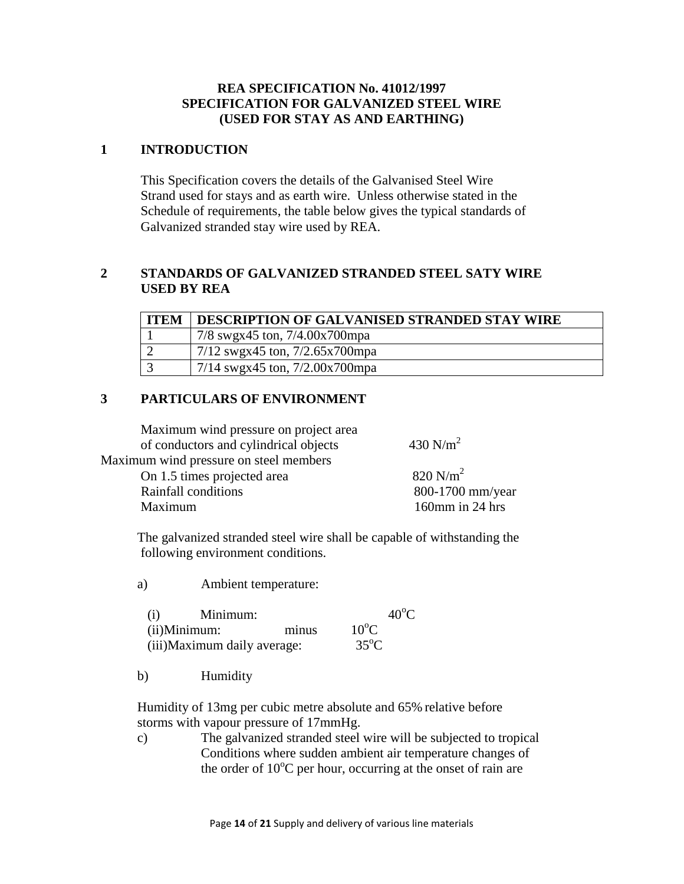#### **REA SPECIFICATION No. 41012/1997 SPECIFICATION FOR GALVANIZED STEEL WIRE (USED FOR STAY AS AND EARTHING)**

#### **1 INTRODUCTION**

This Specification covers the details of the Galvanised Steel Wire Strand used for stays and as earth wire. Unless otherwise stated in the Schedule of requirements, the table below gives the typical standards of Galvanized stranded stay wire used by REA.

#### **2 STANDARDS OF GALVANIZED STRANDED STEEL SATY WIRE USED BY REA**

| <b>ITEM</b> | DESCRIPTION OF GALVANISED STRANDED STAY WIRE |
|-------------|----------------------------------------------|
|             | 7/8 swgx45 ton, 7/4.00x700mpa                |
|             | 7/12 swgx45 ton, $7/2.65x700$ mpa            |
|             | $7/14$ swgx45 ton, $7/2.00x700$ mpa          |

#### **3 PARTICULARS OF ENVIRONMENT**

Maximum wind pressure on project area of conductors and cylindrical objects  $430$  N/m<sup>2</sup> Maximum wind pressure on steel members On 1.5 times projected area 820 N/m<sup>2</sup>

Rainfall conditions 800-1700 mm/year Maximum 160mm in 24 hrs

 The galvanized stranded steel wire shall be capable of withstanding the following environment conditions.

a) Ambient temperature:

| (i) | Minimum:                     |       | $40^{\circ}$ C |  |
|-----|------------------------------|-------|----------------|--|
|     | $(ii)$ Minimum:              | minus | $10^{\circ}$ C |  |
|     | (iii) Maximum daily average: |       | $35^{\circ}$ C |  |

b) Humidity

 Humidity of 13mg per cubic metre absolute and 65% relative before storms with vapour pressure of 17mmHg.

c) The galvanized stranded steel wire will be subjected to tropical Conditions where sudden ambient air temperature changes of the order of  $10^{\circ}$ C per hour, occurring at the onset of rain are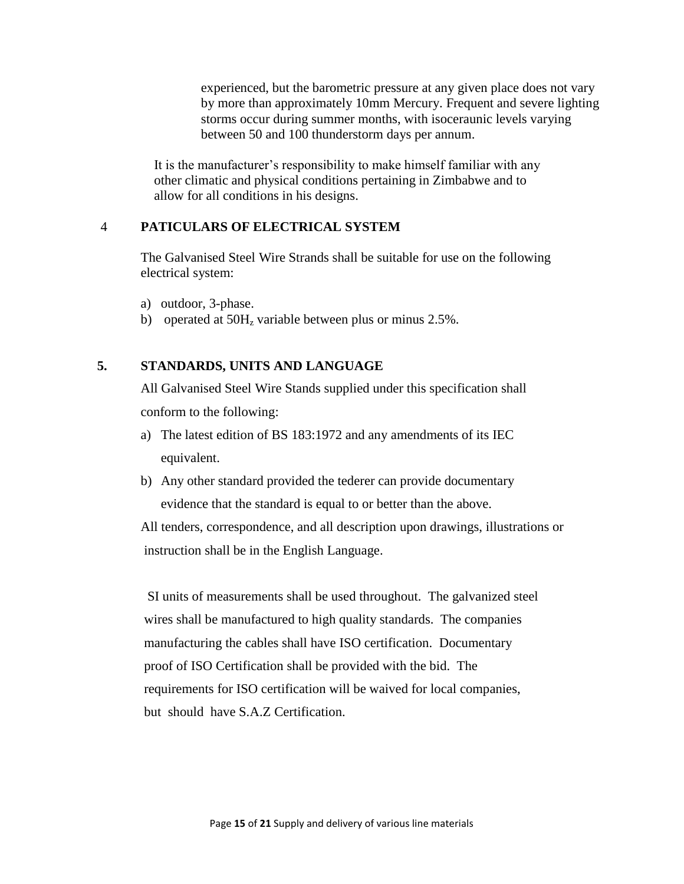experienced, but the barometric pressure at any given place does not vary by more than approximately 10mm Mercury. Frequent and severe lighting storms occur during summer months, with isoceraunic levels varying between 50 and 100 thunderstorm days per annum.

 It is the manufacturer's responsibility to make himself familiar with any other climatic and physical conditions pertaining in Zimbabwe and to allow for all conditions in his designs.

#### 4 **PATICULARS OF ELECTRICAL SYSTEM**

The Galvanised Steel Wire Strands shall be suitable for use on the following electrical system:

- a) outdoor, 3-phase.
- b) operated at  $50H<sub>z</sub>$  variable between plus or minus 2.5%.

#### **5. STANDARDS, UNITS AND LANGUAGE**

All Galvanised Steel Wire Stands supplied under this specification shall conform to the following:

- a) The latest edition of BS 183:1972 and any amendments of its IEC equivalent.
- b) Any other standard provided the tederer can provide documentary evidence that the standard is equal to or better than the above.

 All tenders, correspondence, and all description upon drawings, illustrations or instruction shall be in the English Language.

 SI units of measurements shall be used throughout. The galvanized steel wires shall be manufactured to high quality standards. The companies manufacturing the cables shall have ISO certification. Documentary proof of ISO Certification shall be provided with the bid. The requirements for ISO certification will be waived for local companies, but should have S.A.Z Certification.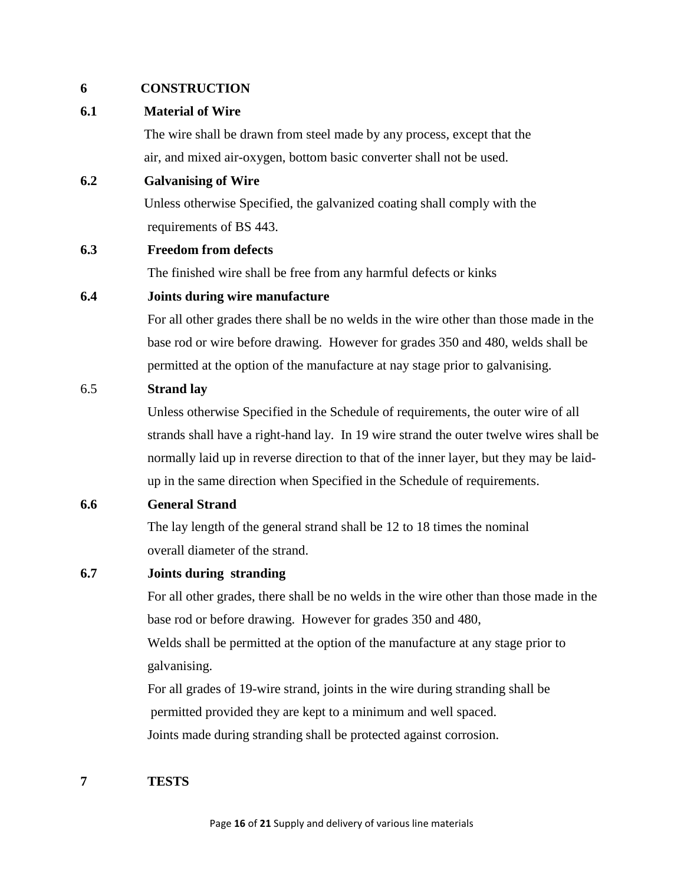#### **6 CONSTRUCTION**

#### **6.1 Material of Wire**

 The wire shall be drawn from steel made by any process, except that the air, and mixed air-oxygen, bottom basic converter shall not be used.

#### **6.2 Galvanising of Wire**

 Unless otherwise Specified, the galvanized coating shall comply with the requirements of BS 443.

#### **6.3 Freedom from defects**

The finished wire shall be free from any harmful defects or kinks

#### **6.4 Joints during wire manufacture**

For all other grades there shall be no welds in the wire other than those made in the base rod or wire before drawing. However for grades 350 and 480, welds shall be permitted at the option of the manufacture at nay stage prior to galvanising.

#### 6.5 **Strand lay**

Unless otherwise Specified in the Schedule of requirements, the outer wire of all strands shall have a right-hand lay. In 19 wire strand the outer twelve wires shall be normally laid up in reverse direction to that of the inner layer, but they may be laidup in the same direction when Specified in the Schedule of requirements.

#### **6.6 General Strand**

 The lay length of the general strand shall be 12 to 18 times the nominal overall diameter of the strand.

#### **6.7 Joints during stranding**

For all other grades, there shall be no welds in the wire other than those made in the base rod or before drawing. However for grades 350 and 480, Welds shall be permitted at the option of the manufacture at any stage prior to

galvanising.

 For all grades of 19-wire strand, joints in the wire during stranding shall be permitted provided they are kept to a minimum and well spaced. Joints made during stranding shall be protected against corrosion.

#### **7 TESTS**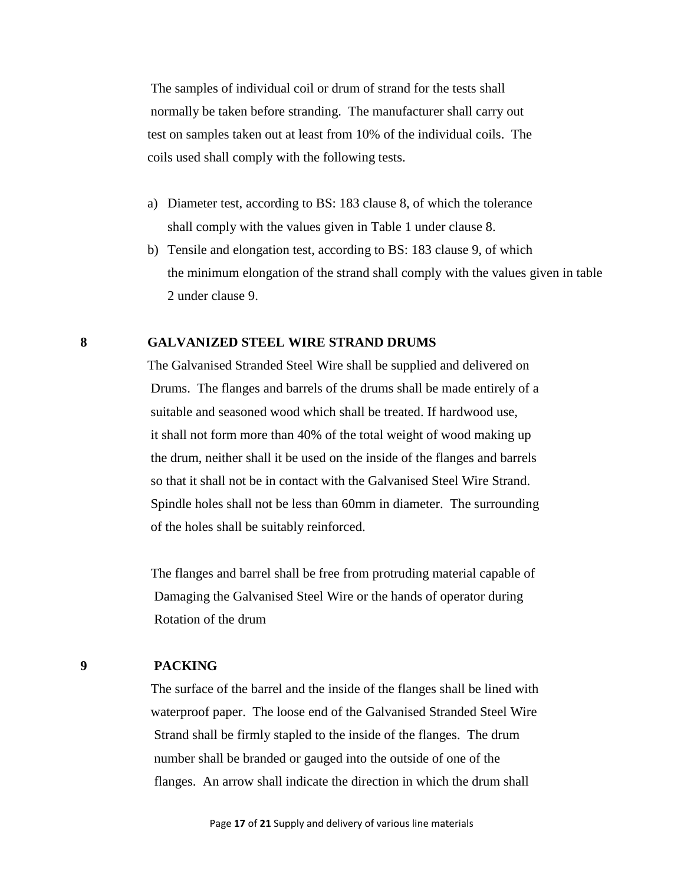The samples of individual coil or drum of strand for the tests shall normally be taken before stranding. The manufacturer shall carry out test on samples taken out at least from 10% of the individual coils. The coils used shall comply with the following tests.

- a) Diameter test, according to BS: 183 clause 8, of which the tolerance shall comply with the values given in Table 1 under clause 8.
- b) Tensile and elongation test, according to BS: 183 clause 9, of which the minimum elongation of the strand shall comply with the values given in table 2 under clause 9.

#### **8 GALVANIZED STEEL WIRE STRAND DRUMS**

 The Galvanised Stranded Steel Wire shall be supplied and delivered on Drums. The flanges and barrels of the drums shall be made entirely of a suitable and seasoned wood which shall be treated. If hardwood use, it shall not form more than 40% of the total weight of wood making up the drum, neither shall it be used on the inside of the flanges and barrels so that it shall not be in contact with the Galvanised Steel Wire Strand. Spindle holes shall not be less than 60mm in diameter. The surrounding of the holes shall be suitably reinforced.

 The flanges and barrel shall be free from protruding material capable of Damaging the Galvanised Steel Wire or the hands of operator during Rotation of the drum

#### **9 PACKING**

The surface of the barrel and the inside of the flanges shall be lined with waterproof paper. The loose end of the Galvanised Stranded Steel Wire Strand shall be firmly stapled to the inside of the flanges. The drum number shall be branded or gauged into the outside of one of the flanges. An arrow shall indicate the direction in which the drum shall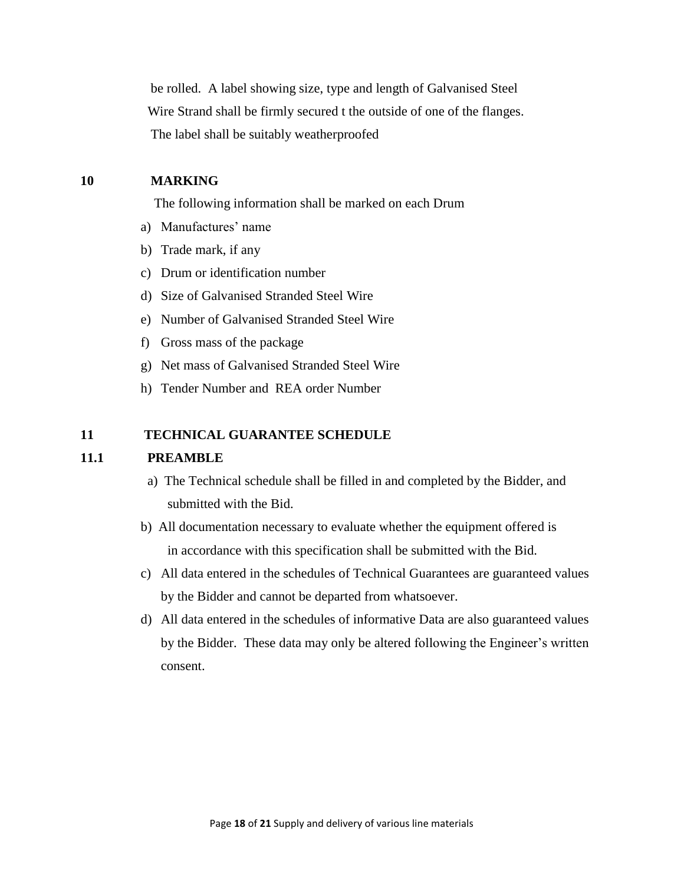be rolled. A label showing size, type and length of Galvanised Steel Wire Strand shall be firmly secured t the outside of one of the flanges. The label shall be suitably weatherproofed

#### **10 MARKING**

The following information shall be marked on each Drum

- a) Manufactures' name
- b) Trade mark, if any
- c) Drum or identification number
- d) Size of Galvanised Stranded Steel Wire
- e) Number of Galvanised Stranded Steel Wire
- f) Gross mass of the package
- g) Net mass of Galvanised Stranded Steel Wire
- h) Tender Number and REA order Number

#### **11 TECHNICAL GUARANTEE SCHEDULE**

#### **11.1 PREAMBLE**

- a) The Technical schedule shall be filled in and completed by the Bidder, and submitted with the Bid.
- b) All documentation necessary to evaluate whether the equipment offered is in accordance with this specification shall be submitted with the Bid.
- c) All data entered in the schedules of Technical Guarantees are guaranteed values by the Bidder and cannot be departed from whatsoever.
- d) All data entered in the schedules of informative Data are also guaranteed values by the Bidder. These data may only be altered following the Engineer's written consent.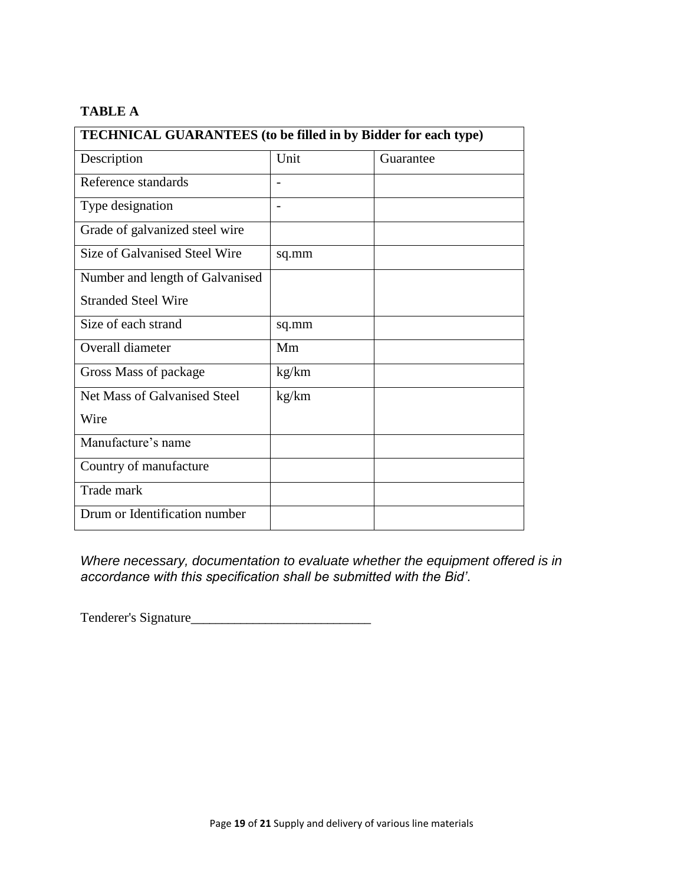#### **TABLE A**

| <b>TECHNICAL GUARANTEES</b> (to be filled in by Bidder for each type) |       |           |  |  |
|-----------------------------------------------------------------------|-------|-----------|--|--|
| Description                                                           | Unit  | Guarantee |  |  |
| Reference standards                                                   |       |           |  |  |
| Type designation                                                      |       |           |  |  |
| Grade of galvanized steel wire                                        |       |           |  |  |
| Size of Galvanised Steel Wire                                         | sq.mm |           |  |  |
| Number and length of Galvanised                                       |       |           |  |  |
| <b>Stranded Steel Wire</b>                                            |       |           |  |  |
| Size of each strand                                                   | sq.mm |           |  |  |
| Overall diameter                                                      | Mm    |           |  |  |
| Gross Mass of package                                                 | kg/km |           |  |  |
| Net Mass of Galvanised Steel                                          | kg/km |           |  |  |
| Wire                                                                  |       |           |  |  |
| Manufacture's name                                                    |       |           |  |  |
| Country of manufacture                                                |       |           |  |  |
| Trade mark                                                            |       |           |  |  |
| Drum or Identification number                                         |       |           |  |  |

*Where necessary, documentation to evaluate whether the equipment offered is in accordance with this specification shall be submitted with the Bid'*.

Tenderer's Signature\_\_\_\_\_\_\_\_\_\_\_\_\_\_\_\_\_\_\_\_\_\_\_\_\_\_\_\_\_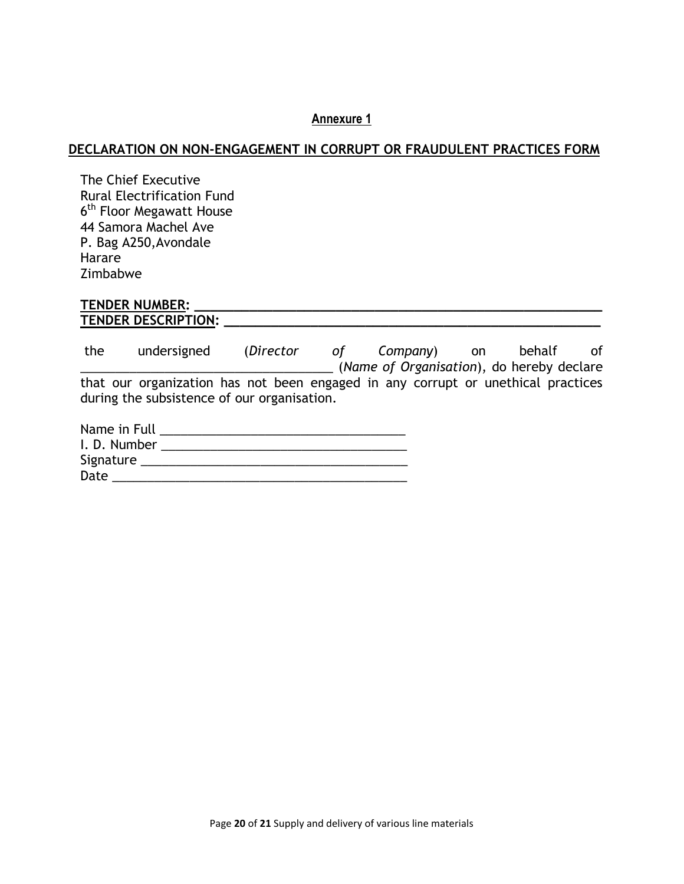#### **Annexure 1**

#### **DECLARATION ON NON-ENGAGEMENT IN CORRUPT OR FRAUDULENT PRACTICES FORM**

The Chief Executive Rural Electrification Fund 6<sup>th</sup> Floor Megawatt House 44 Samora Machel Ave P. Bag A250,Avondale Harare Zimbabwe

#### **TENDER NUMBER: \_\_\_\_\_\_\_\_\_\_\_\_\_\_\_\_\_\_\_\_\_\_\_\_\_\_\_\_\_\_\_\_\_\_\_\_\_\_\_\_\_\_\_\_\_\_\_\_\_\_\_\_ TENDER DESCRIPTION: \_\_\_\_\_\_\_\_\_\_\_\_\_\_\_\_\_\_\_\_\_\_\_\_\_\_\_\_\_\_\_\_\_\_\_\_\_\_\_\_\_\_\_\_\_\_\_\_**

the undersigned (*Director of Company*) on behalf of \_\_\_\_\_\_\_\_\_\_\_\_\_\_\_\_\_\_\_\_\_\_\_\_\_\_\_\_\_\_\_\_\_\_\_\_ (*Name of Organisation*), do hereby declare that our organization has not been engaged in any corrupt or unethical practices during the subsistence of our organisation.

| Name in Full |  |
|--------------|--|
| I.D. Number  |  |
| Signature    |  |
| Date         |  |